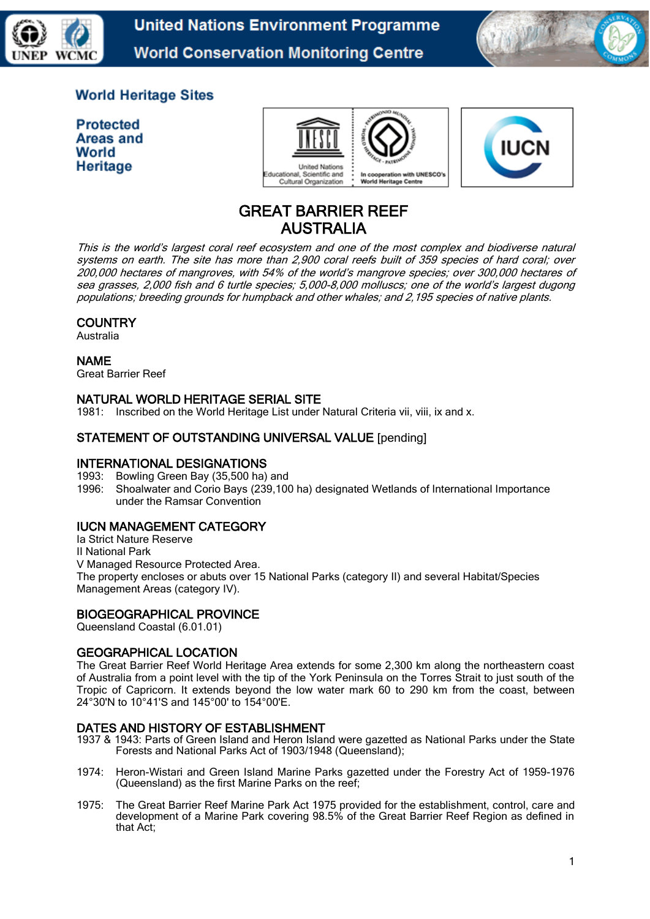



# **World Heritage Sites**

**Protected Areas and** World Heritage





# GREAT BARRIER REEF AUSTRALIA

This is the world's largest coral reef ecosystem and one of the most complex and biodiverse natural systems on earth. The site has more than 2,900 coral reefs built of 359 species of hard coral; over 200,000 hectares of mangroves, with 54% of the world's mangrove species; over 300,000 hectares of sea grasses, 2,000 fish and 6 turtle species; 5,000-8,000 molluscs; one of the world's largest dugong populations; breeding grounds for humpback and other whales; and 2,195 species of native plants.

# **COUNTRY**

Australia

NAME

Great Barrier Reef

# NATURAL WORLD HERITAGE SERIAL SITE

1981: Inscribed on the World Heritage List under Natural Criteria vii, viii, ix and x.

# STATEMENT OF OUTSTANDING UNIVERSAL VALUE [pending]

#### INTERNATIONAL DESIGNATIONS

1993: Bowling Green Bay (35,500 ha) and

1996: Shoalwater and Corio Bays (239,100 ha) designated Wetlands of International Importance under the Ramsar Convention

# IUCN MANAGEMENT CATEGORY

Ia Strict Nature Reserve II National Park V Managed Resource Protected Area. The property encloses or abuts over 15 National Parks (category II) and several Habitat/Species Management Areas (category IV).

# BIOGEOGRAPHICAL PROVINCE

Queensland Coastal (6.01.01)

# GEOGRAPHICAL LOCATION

The Great Barrier Reef World Heritage Area extends for some 2,300 km along the northeastern coast of Australia from a point level with the tip of the York Peninsula on the Torres Strait to just south of the Tropic of Capricorn. It extends beyond the low water mark 60 to 290 km from the coast, between 24°30'N to 10°41'S and 145°00' to 154°00'E.

#### DATES AND HISTORY OF ESTABLISHMENT

- 1937 & 1943: Parts of Green Island and Heron Island were gazetted as National Parks under the State Forests and National Parks Act of 1903/1948 (Queensland);
- 1974: Heron-Wistari and Green Island Marine Parks gazetted under the Forestry Act of 1959-1976 (Queensland) as the first Marine Parks on the reef;
- 1975: The Great Barrier Reef Marine Park Act 1975 provided for the establishment, control, care and development of a Marine Park covering 98.5% of the Great Barrier Reef Region as defined in that Act;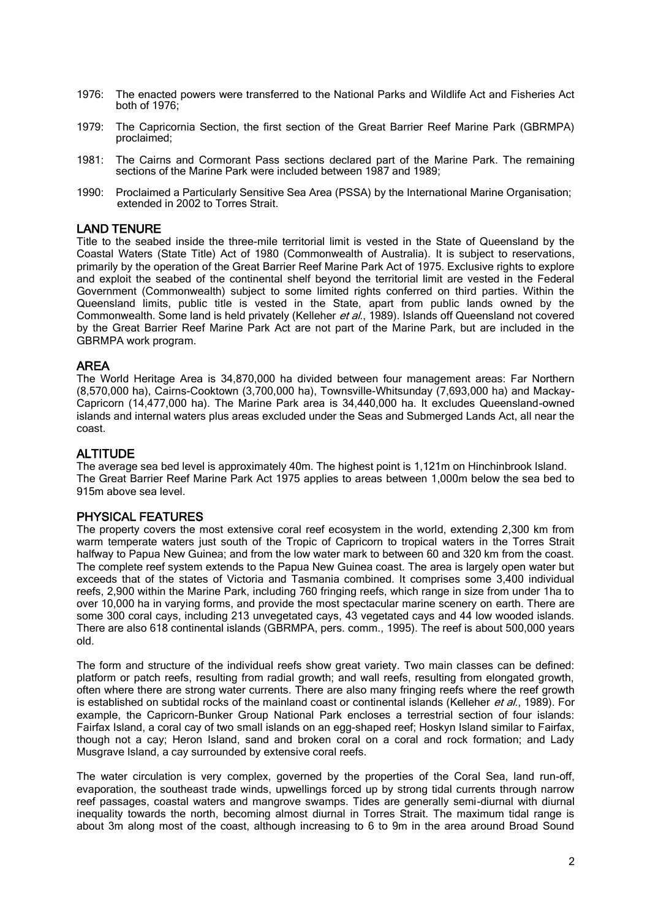- 1976: The enacted powers were transferred to the National Parks and Wildlife Act and Fisheries Act both of 1976;
- 1979: The Capricornia Section, the first section of the Great Barrier Reef Marine Park (GBRMPA) proclaimed;
- 1981: The Cairns and Cormorant Pass sections declared part of the Marine Park. The remaining sections of the Marine Park were included between 1987 and 1989;
- 1990: Proclaimed a Particularly Sensitive Sea Area (PSSA) by the International Marine Organisation; extended in 2002 to Torres Strait.

#### LAND TENURE

Title to the seabed inside the three-mile territorial limit is vested in the State of Queensland by the Coastal Waters (State Title) Act of 1980 (Commonwealth of Australia). It is subject to reservations, primarily by the operation of the Great Barrier Reef Marine Park Act of 1975. Exclusive rights to explore and exploit the seabed of the continental shelf beyond the territorial limit are vested in the Federal Government (Commonwealth) subject to some limited rights conferred on third parties. Within the Queensland limits, public title is vested in the State, apart from public lands owned by the Commonwealth. Some land is held privately (Kelleher et al., 1989). Islands off Queensland not covered by the Great Barrier Reef Marine Park Act are not part of the Marine Park, but are included in the GBRMPA work program.

## AREA

The World Heritage Area is 34,870,000 ha divided between four management areas: Far Northern (8,570,000 ha), Cairns-Cooktown (3,700,000 ha), Townsville-Whitsunday (7,693,000 ha) and Mackay-Capricorn (14,477,000 ha). The Marine Park area is 34,440,000 ha. It excludes Queensland-owned islands and internal waters plus areas excluded under the Seas and Submerged Lands Act, all near the coast.

#### **ALTITUDE**

The average sea bed level is approximately 40m. The highest point is 1,121m on Hinchinbrook Island. The Great Barrier Reef Marine Park Act 1975 applies to areas between 1,000m below the sea bed to 915m above sea level.

#### PHYSICAL FEATURES

The property covers the most extensive coral reef ecosystem in the world, extending 2,300 km from warm temperate waters just south of the Tropic of Capricorn to tropical waters in the Torres Strait halfway to Papua New Guinea; and from the low water mark to between 60 and 320 km from the coast. The complete reef system extends to the Papua New Guinea coast. The area is largely open water but exceeds that of the states of Victoria and Tasmania combined. It comprises some 3,400 individual reefs, 2,900 within the Marine Park, including 760 fringing reefs, which range in size from under 1ha to over 10,000 ha in varying forms, and provide the most spectacular marine scenery on earth. There are some 300 coral cays, including 213 unvegetated cays, 43 vegetated cays and 44 low wooded islands. There are also 618 continental islands (GBRMPA, pers. comm., 1995). The reef is about 500,000 years old.

The form and structure of the individual reefs show great variety. Two main classes can be defined: platform or patch reefs, resulting from radial growth; and wall reefs, resulting from elongated growth, often where there are strong water currents. There are also many fringing reefs where the reef growth is established on subtidal rocks of the mainland coast or continental islands (Kelleher et al., 1989). For example, the Capricorn-Bunker Group National Park encloses a terrestrial section of four islands: Fairfax Island, a coral cay of two small islands on an egg-shaped reef; Hoskyn Island similar to Fairfax, though not a cay; Heron Island, sand and broken coral on a coral and rock formation; and Lady Musgrave Island, a cay surrounded by extensive coral reefs.

The water circulation is very complex, governed by the properties of the Coral Sea, land run-off, evaporation, the southeast trade winds, upwellings forced up by strong tidal currents through narrow reef passages, coastal waters and mangrove swamps. Tides are generally semi-diurnal with diurnal inequality towards the north, becoming almost diurnal in Torres Strait. The maximum tidal range is about 3m along most of the coast, although increasing to 6 to 9m in the area around Broad Sound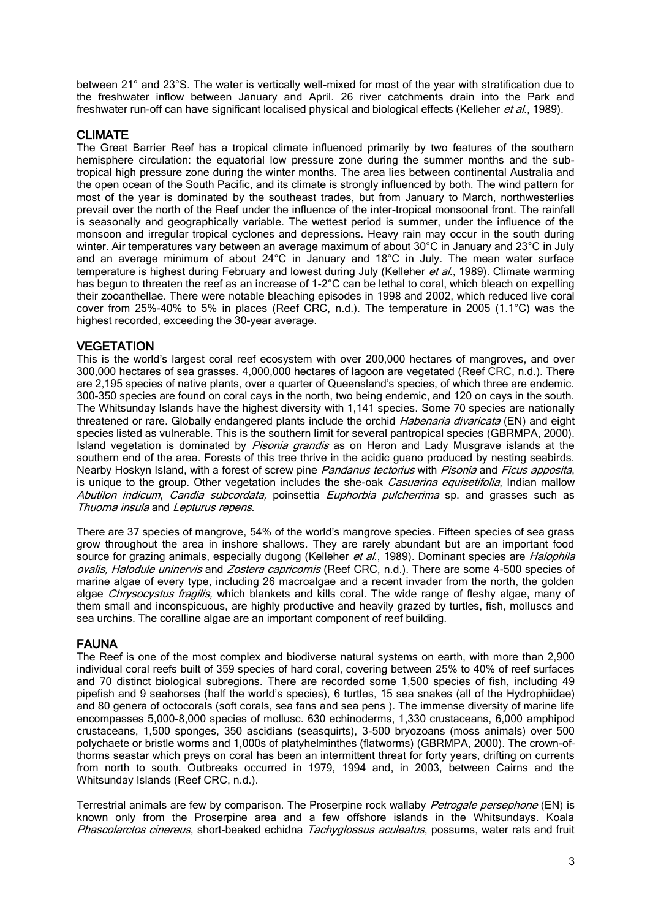between 21° and 23°S. The water is vertically well-mixed for most of the year with stratification due to the freshwater inflow between January and April. 26 river catchments drain into the Park and freshwater run-off can have significant localised physical and biological effects (Kelleher et al., 1989).

#### CLIMATE

The Great Barrier Reef has a tropical climate influenced primarily by two features of the southern hemisphere circulation: the equatorial low pressure zone during the summer months and the subtropical high pressure zone during the winter months. The area lies between continental Australia and the open ocean of the South Pacific, and its climate is strongly influenced by both. The wind pattern for most of the year is dominated by the southeast trades, but from January to March, northwesterlies prevail over the north of the Reef under the influence of the inter-tropical monsoonal front. The rainfall is seasonally and geographically variable. The wettest period is summer, under the influence of the monsoon and irregular tropical cyclones and depressions. Heavy rain may occur in the south during winter. Air temperatures vary between an average maximum of about 30°C in January and 23°C in July and an average minimum of about 24°C in January and 18°C in July. The mean water surface temperature is highest during February and lowest during July (Kelleher et al., 1989). Climate warming has begun to threaten the reef as an increase of 1-2°C can be lethal to coral, which bleach on expelling their zooanthellae. There were notable bleaching episodes in 1998 and 2002, which reduced live coral cover from 25%-40% to 5% in places (Reef CRC, n.d.). The temperature in 2005 (1.1°C) was the highest recorded, exceeding the 30-year average.

## **VEGETATION**

This is the world's largest coral reef ecosystem with over 200,000 hectares of mangroves, and over 300,000 hectares of sea grasses. 4,000,000 hectares of lagoon are vegetated (Reef CRC, n.d.). There are 2,195 species of native plants, over a quarter of Queensland's species, of which three are endemic. 300-350 species are found on coral cays in the north, two being endemic, and 120 on cays in the south. The Whitsunday Islands have the highest diversity with 1,141 species. Some 70 species are nationally threatened or rare. Globally endangered plants include the orchid Habenaria divaricata (EN) and eight species listed as vulnerable. This is the southern limit for several pantropical species (GBRMPA, 2000). Island vegetation is dominated by Pisonia grandis as on Heron and Lady Musgrave islands at the southern end of the area. Forests of this tree thrive in the acidic guano produced by nesting seabirds. Nearby Hoskyn Island, with a forest of screw pine Pandanus tectorius with Pisonia and Ficus apposita, is unique to the group. Other vegetation includes the she-oak Casuarina equisetifolia, Indian mallow Abutilon indicum, Candia subcordata, poinsettia Euphorbia pulcherrima sp. and grasses such as Thuorna insula and Lepturus repens.

There are 37 species of mangrove, 54% of the world's mangrove species. Fifteen species of sea grass grow throughout the area in inshore shallows. They are rarely abundant but are an important food source for grazing animals, especially dugong (Kelleher et al., 1989). Dominant species are *Halophila* ovalis, Halodule uninervis and *Zostera capricornis* (Reef CRC, n.d.). There are some 4-500 species of marine algae of every type, including 26 macroalgae and a recent invader from the north, the golden algae *Chrysocystus fragilis*, which blankets and kills coral. The wide range of fleshy algae, many of them small and inconspicuous, are highly productive and heavily grazed by turtles, fish, molluscs and sea urchins. The coralline algae are an important component of reef building.

#### FAUNA

The Reef is one of the most complex and biodiverse natural systems on earth, with more than 2,900 individual coral reefs built of 359 species of hard coral, covering between 25% to 40% of reef surfaces and 70 distinct biological subregions. There are recorded some 1,500 species of fish, including 49 pipefish and 9 seahorses (half the world's species), 6 turtles, 15 sea snakes (all of the Hydrophiidae) and 80 genera of octocorals (soft corals, sea fans and sea pens ). The immense diversity of marine life encompasses 5,000-8,000 species of mollusc. 630 echinoderms, 1,330 crustaceans, 6,000 amphipod crustaceans, 1,500 sponges, 350 ascidians (seasquirts), 3-500 bryozoans (moss animals) over 500 polychaete or bristle worms and 1,000s of platyhelminthes (flatworms) (GBRMPA, 2000). The crown-of– thorms seastar which preys on coral has been an intermittent threat for forty years, drifting on currents from north to south. Outbreaks occurred in 1979, 1994 and, in 2003, between Cairns and the Whitsunday Islands (Reef CRC, n.d.).

Terrestrial animals are few by comparison. The Proserpine rock wallaby Petrogale persephone (EN) is known only from the Proserpine area and a few offshore islands in the Whitsundays. Koala Phascolarctos cinereus, short-beaked echidna Tachyglossus aculeatus, possums, water rats and fruit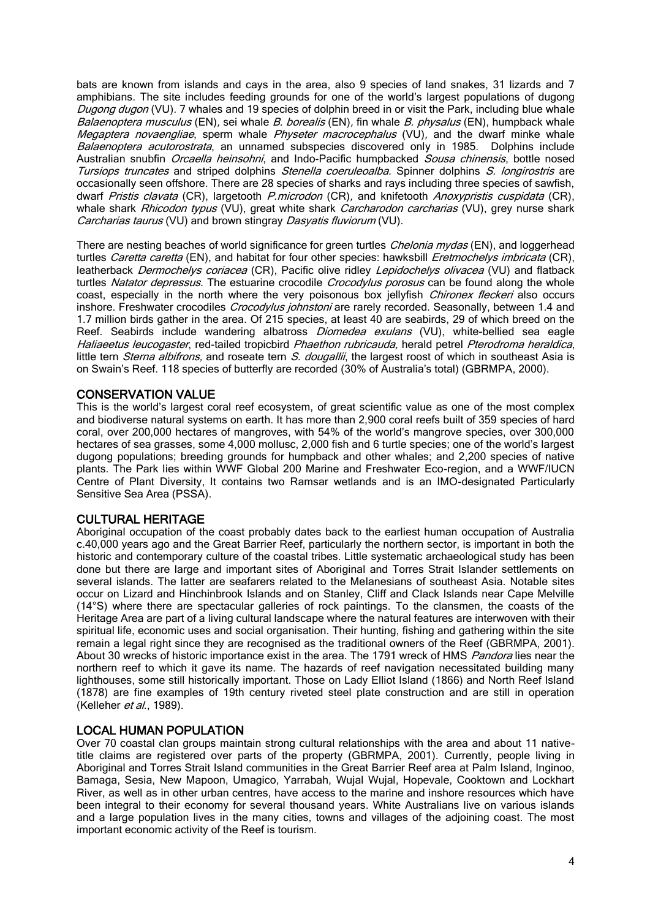bats are known from islands and cays in the area, also 9 species of land snakes, 31 lizards and 7 amphibians. The site includes feeding grounds for one of the world's largest populations of dugong Dugong dugon (VU). 7 whales and 19 species of dolphin breed in or visit the Park, including blue whale Balaenoptera musculus (EN), sei whale B. borealis (EN), fin whale B. physalus (EN), humpback whale Megaptera novaengliae, sperm whale Physeter macrocephalus (VU), and the dwarf minke whale Balaenoptera acutorostrata, an unnamed subspecies discovered only in 1985. Dolphins include Australian snubfin *Orcaella heinsohni*, and Indo-Pacific humpbacked *Sousa chinensis*, bottle nosed Tursiops truncates and striped dolphins Stenella coeruleoalba. Spinner dolphins S. longirostris are occasionally seen offshore. There are 28 species of sharks and rays including three species of sawfish, dwarf Pristis clavata (CR), largetooth P.microdon (CR), and knifetooth Anoxypristis cuspidata (CR), whale shark Rhicodon typus (VU), great white shark Carcharodon carcharias (VU), grey nurse shark Carcharias taurus (VU) and brown stingray Dasyatis fluviorum (VU).

There are nesting beaches of world significance for green turtles *Chelonia mydas* (EN), and loggerhead turtles Caretta caretta (EN), and habitat for four other species: hawksbill [Eretmochelys imbricata](http://quin.unep-wcmc.org/isdb/Taxonomy/tax-gs-search2.cfm?GenName=Eretmochelys&SpcName=imbricata) (CR), leatherback Dermochelys coriacea (CR), Pacific olive ridley Lepidochelys olivacea (VU) and flatback turtles Natator depressus. The estuarine crocodile Crocodylus porosus can be found along the whole coast, especially in the north where the very poisonous box jellyfish *Chironex fleckeri* also occurs inshore. Freshwater crocodiles Crocodylus johnstoni are rarely recorded. Seasonally, between 1.4 and 1.7 million birds gather in the area. Of 215 species, at least 40 are seabirds, 29 of which breed on the Reef. Seabirds include wandering albatross *Diomedea exulans* (VU), white-bellied sea eagle Haliaeetus leucogaster, red-tailed tropicbird Phaethon rubricauda, herald petrel Pterodroma heraldica, little tern Sterna albifrons, and roseate tern S. dougallii, the largest roost of which in southeast Asia is on Swain's Reef. 118 species of butterfly are recorded (30% of Australia's total) (GBRMPA, 2000).

# CONSERVATION VALUE

This is the world's largest coral reef ecosystem, of great scientific value as one of the most complex and biodiverse natural systems on earth. It has more than 2,900 coral reefs built of 359 species of hard coral, over 200,000 hectares of mangroves, with 54% of the world's mangrove species, over 300,000 hectares of sea grasses, some 4,000 mollusc, 2,000 fish and 6 turtle species; one of the world's largest dugong populations; breeding grounds for humpback and other whales; and 2,200 species of native plants. The Park lies within WWF Global 200 Marine and Freshwater Eco-region, and a WWF/IUCN Centre of Plant Diversity, It contains two Ramsar wetlands and is an IMO-designated Particularly Sensitive Sea Area (PSSA).

# CULTURAL HERITAGE

Aboriginal occupation of the coast probably dates back to the earliest human occupation of Australia c.40,000 years ago and the Great Barrier Reef, particularly the northern sector, is important in both the historic and contemporary culture of the coastal tribes. Little systematic archaeological study has been done but there are large and important sites of Aboriginal and Torres Strait Islander settlements on several islands. The latter are seafarers related to the Melanesians of southeast Asia. Notable sites occur on Lizard and Hinchinbrook Islands and on Stanley, Cliff and Clack Islands near Cape Melville (14°S) where there are spectacular galleries of rock paintings. To the clansmen, the coasts of the Heritage Area are part of a living cultural landscape where the natural features are interwoven with their spiritual life, economic uses and social organisation. Their hunting, fishing and gathering within the site remain a legal right since they are recognised as the traditional owners of the Reef (GBRMPA, 2001). About 30 wrecks of historic importance exist in the area. The 1791 wreck of HMS Pandora lies near the northern reef to which it gave its name. The hazards of reef navigation necessitated building many lighthouses, some still historically important. Those on Lady Elliot Island (1866) and North Reef Island (1878) are fine examples of 19th century riveted steel plate construction and are still in operation (Kelleher et al., 1989).

# LOCAL HUMAN POPULATION

Over 70 coastal clan groups maintain strong cultural relationships with the area and about 11 nativetitle claims are registered over parts of the property (GBRMPA, 2001). Currently, people living in Aboriginal and Torres Strait Island communities in the Great Barrier Reef area at Palm Island, Inginoo, Bamaga, Sesia, New Mapoon, Umagico, Yarrabah, Wujal Wujal, Hopevale, Cooktown and Lockhart River, as well as in other urban centres, have access to the marine and inshore resources which have been integral to their economy for several thousand years. White Australians live on various islands and a large population lives in the many cities, towns and villages of the adjoining coast. The most important economic activity of the Reef is tourism.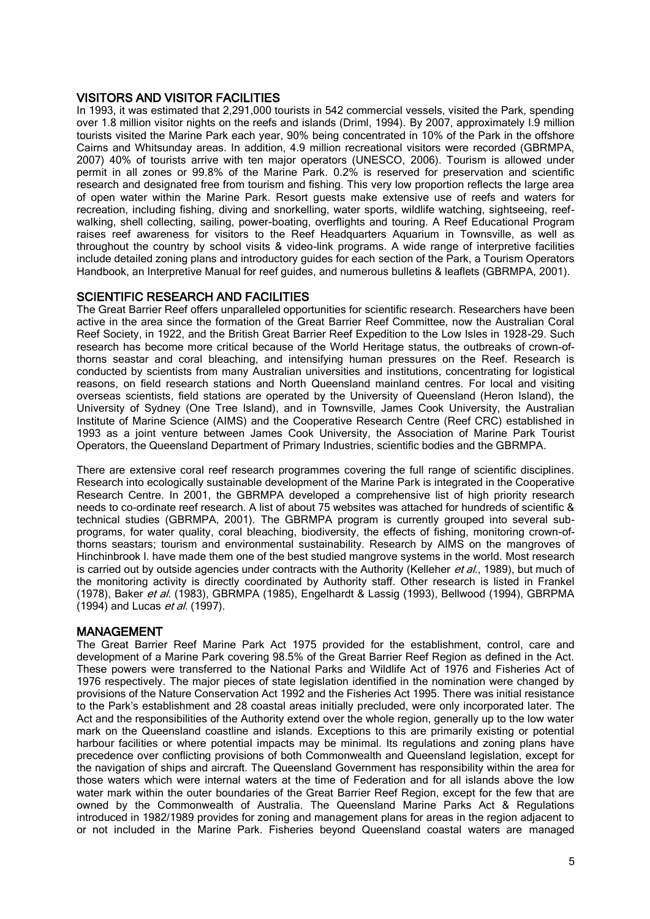## VISITORS AND VISITOR FACILITIES

In 1993, it was estimated that 2,291,000 tourists in 542 commercial vessels, visited the Park, spending over 1.8 million visitor nights on the reefs and islands (Driml, 1994). By 2007, approximately I.9 million tourists visited the Marine Park each year, 90% being concentrated in 10% of the Park in the offshore Cairns and Whitsunday areas. In addition, 4.9 million recreational visitors were recorded (GBRMPA, 2007) 40% of tourists arrive with ten major operators (UNESCO, 2006). Tourism is allowed under permit in all zones or 99.8% of the Marine Park. 0.2% is reserved for preservation and scientific research and designated free from tourism and fishing. This very low proportion reflects the large area of open water within the Marine Park. Resort guests make extensive use of reefs and waters for recreation, including fishing, diving and snorkelling, water sports, wildlife watching, sightseeing, reefwalking, shell collecting, sailing, power-boating, overflights and touring. A Reef Educational Program raises reef awareness for visitors to the Reef Headquarters Aquarium in Townsville, as well as throughout the country by school visits & video-link programs. A wide range of interpretive facilities include detailed zoning plans and introductory guides for each section of the Park, a Tourism Operators Handbook, an Interpretive Manual for reef guides, and numerous bulletins & leaflets (GBRMPA, 2001).

## SCIENTIFIC RESEARCH AND FACILITIES

The Great Barrier Reef offers unparalleled opportunities for scientific research. Researchers have been active in the area since the formation of the Great Barrier Reef Committee, now the Australian Coral Reef Society, in 1922, and the British Great Barrier Reef Expedition to the Low Isles in 1928-29. Such research has become more critical because of the World Heritage status, the outbreaks of crown-ofthorns seastar and coral bleaching, and intensifying human pressures on the Reef. Research is conducted by scientists from many Australian universities and institutions, concentrating for logistical reasons, on field research stations and North Queensland mainland centres. For local and visiting overseas scientists, field stations are operated by the University of Queensland (Heron Island), the University of Sydney (One Tree Island), and in Townsville, James Cook University, the Australian Institute of Marine Science (AIMS) and the Cooperative Research Centre (Reef CRC) established in 1993 as a joint venture between James Cook University, the Association of Marine Park Tourist Operators, the Queensland Department of Primary Industries, scientific bodies and the GBRMPA.

There are extensive coral reef research programmes covering the full range of scientific disciplines. Research into ecologically sustainable development of the Marine Park is integrated in the Cooperative Research Centre. In 2001, the GBRMPA developed a comprehensive list of high priority research needs to co-ordinate reef research. A list of about 75 websites was attached for hundreds of scientific & technical studies (GBRMPA, 2001). The GBRMPA program is currently grouped into several subprograms, for water quality, coral bleaching, biodiversity, the effects of fishing, monitoring crown-ofthorns seastars; tourism and environmental sustainability. Research by AIMS on the mangroves of Hinchinbrook I. have made them one of the best studied mangrove systems in the world. Most research is carried out by outside agencies under contracts with the Authority (Kelleher et al., 1989), but much of the monitoring activity is directly coordinated by Authority staff. Other research is listed in Frankel (1978), Baker et al. (1983), GBRMPA (1985), Engelhardt & Lassig (1993), Bellwood (1994), GBRPMA  $(1994)$  and Lucas *et al.* (1997).

#### MANAGEMENT

The Great Barrier Reef Marine Park Act 1975 provided for the establishment, control, care and development of a Marine Park covering 98.5% of the Great Barrier Reef Region as defined in the Act. These powers were transferred to the National Parks and Wildlife Act of 1976 and Fisheries Act of 1976 respectively. The major pieces of state legislation identified in the nomination were changed by provisions of the Nature Conservation Act 1992 and the Fisheries Act 1995. There was initial resistance to the Park's establishment and 28 coastal areas initially precluded, were only incorporated later. The Act and the responsibilities of the Authority extend over the whole region, generally up to the low water mark on the Queensland coastline and islands. Exceptions to this are primarily existing or potential harbour facilities or where potential impacts may be minimal. Its regulations and zoning plans have precedence over conflicting provisions of both Commonwealth and Queensland legislation, except for the navigation of ships and aircraft. The Queensland Government has responsibility within the area for those waters which were internal waters at the time of Federation and for all islands above the low water mark within the outer boundaries of the Great Barrier Reef Region, except for the few that are owned by the Commonwealth of Australia. The Queensland Marine Parks Act & Regulations introduced in 1982/1989 provides for zoning and management plans for areas in the region adjacent to or not included in the Marine Park. Fisheries beyond Queensland coastal waters are managed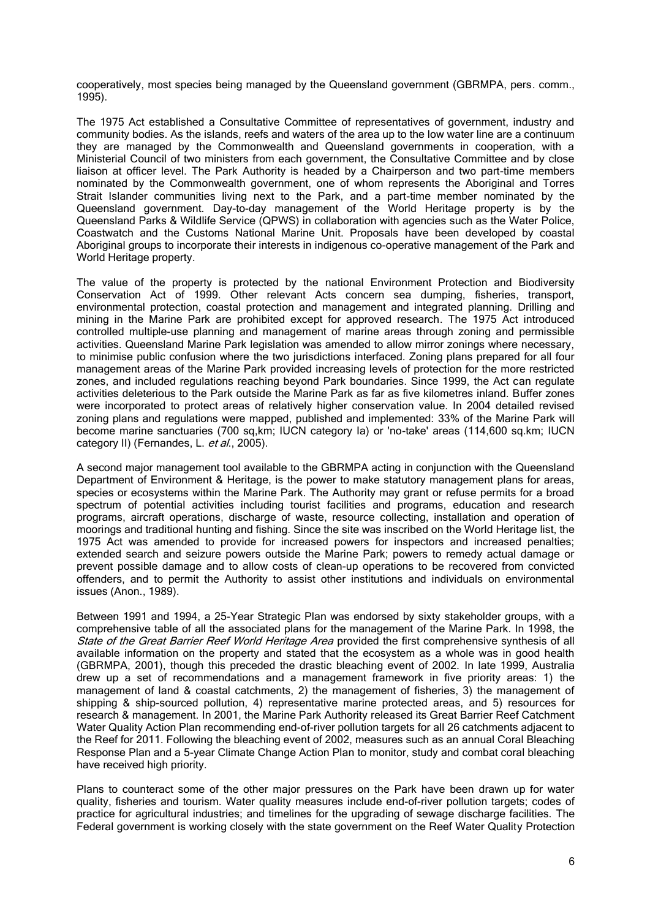cooperatively, most species being managed by the Queensland government (GBRMPA, pers. comm., 1995).

The 1975 Act established a Consultative Committee of representatives of government, industry and community bodies. As the islands, reefs and waters of the area up to the low water line are a continuum they are managed by the Commonwealth and Queensland governments in cooperation, with a Ministerial Council of two ministers from each government, the Consultative Committee and by close liaison at officer level. The Park Authority is headed by a Chairperson and two part-time members nominated by the Commonwealth government, one of whom represents the Aboriginal and Torres Strait Islander communities living next to the Park, and a part-time member nominated by the Queensland government. Day-to-day management of the World Heritage property is by the Queensland Parks & Wildlife Service (QPWS) in collaboration with agencies such as the Water Police, Coastwatch and the Customs National Marine Unit. Proposals have been developed by coastal Aboriginal groups to incorporate their interests in indigenous co-operative management of the Park and World Heritage property.

The value of the property is protected by the national Environment Protection and Biodiversity Conservation Act of 1999. Other relevant Acts concern sea dumping, fisheries, transport, environmental protection, coastal protection and management and integrated planning. Drilling and mining in the Marine Park are prohibited except for approved research. The 1975 Act introduced controlled multiple-use planning and management of marine areas through zoning and permissible activities. Queensland Marine Park legislation was amended to allow mirror zonings where necessary, to minimise public confusion where the two jurisdictions interfaced. Zoning plans prepared for all four management areas of the Marine Park provided increasing levels of protection for the more restricted zones, and included regulations reaching beyond Park boundaries. Since 1999, the Act can regulate activities deleterious to the Park outside the Marine Park as far as five kilometres inland. Buffer zones were incorporated to protect areas of relatively higher conservation value. In 2004 detailed revised zoning plans and regulations were mapped, published and implemented: 33% of the Marine Park will become marine sanctuaries (700 sq,km; IUCN category Ia) or 'no-take' areas (114,600 sq.km; IUCN category II) (Fernandes, L. et al., 2005).

A second major management tool available to the GBRMPA acting in conjunction with the Queensland Department of Environment & Heritage, is the power to make statutory management plans for areas, species or ecosystems within the Marine Park. The Authority may grant or refuse permits for a broad spectrum of potential activities including tourist facilities and programs, education and research programs, aircraft operations, discharge of waste, resource collecting, installation and operation of moorings and traditional hunting and fishing. Since the site was inscribed on the World Heritage list, the 1975 Act was amended to provide for increased powers for inspectors and increased penalties; extended search and seizure powers outside the Marine Park; powers to remedy actual damage or prevent possible damage and to allow costs of clean-up operations to be recovered from convicted offenders, and to permit the Authority to assist other institutions and individuals on environmental issues (Anon., 1989).

Between 1991 and 1994, a 25-Year Strategic Plan was endorsed by sixty stakeholder groups, with a comprehensive table of all the associated plans for the management of the Marine Park. In 1998, the State of the Great Barrier Reef World Heritage Area provided the first comprehensive synthesis of all available information on the property and stated that the ecosystem as a whole was in good health (GBRMPA, 2001), though this preceded the drastic bleaching event of 2002. In late 1999, Australia drew up a set of recommendations and a management framework in five priority areas: 1) the management of land & coastal catchments, 2) the management of fisheries, 3) the management of shipping & ship-sourced pollution, 4) representative marine protected areas, and 5) resources for research & management. In 2001, the Marine Park Authority released its Great Barrier Reef Catchment Water Quality Action Plan recommending end-of-river pollution targets for all 26 catchments adjacent to the Reef for 2011. Following the bleaching event of 2002, measures such as an annual Coral Bleaching Response Plan and a 5-year Climate Change Action Plan to monitor, study and combat coral bleaching have received high priority.

Plans to counteract some of the other major pressures on the Park have been drawn up for water quality, fisheries and tourism. Water quality measures include end-of-river pollution targets; codes of practice for agricultural industries; and timelines for the upgrading of sewage discharge facilities. The Federal government is working closely with the state government on the Reef Water Quality Protection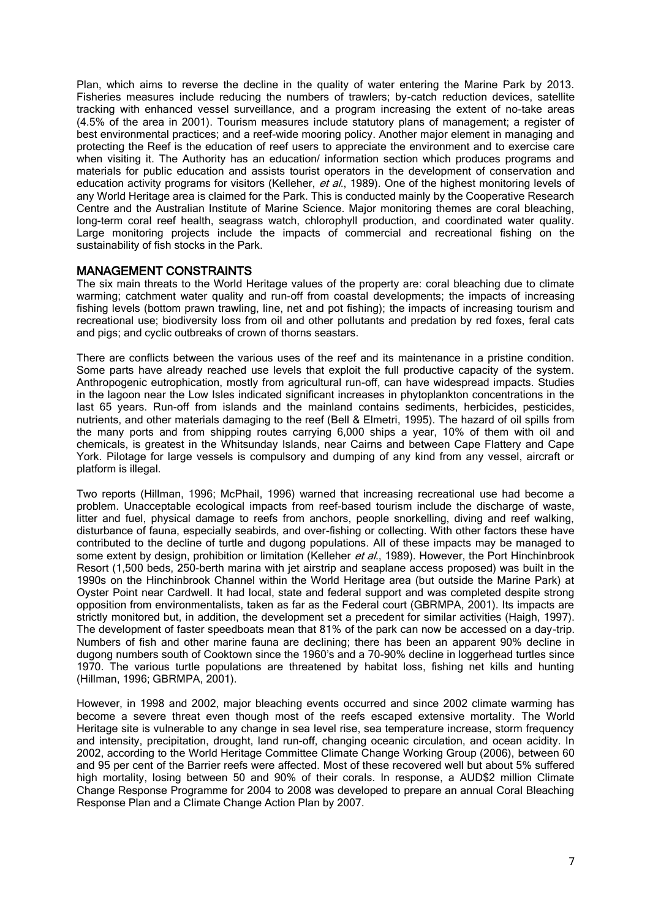Plan, which aims to reverse the decline in the quality of water entering the Marine Park by 2013. Fisheries measures include reducing the numbers of trawlers; by-catch reduction devices, satellite tracking with enhanced vessel surveillance, and a program increasing the extent of no-take areas (4.5% of the area in 2001). Tourism measures include statutory plans of management; a register of best environmental practices; and a reef-wide mooring policy. Another major element in managing and protecting the Reef is the education of reef users to appreciate the environment and to exercise care when visiting it. The Authority has an education/ information section which produces programs and materials for public education and assists tourist operators in the development of conservation and education activity programs for visitors (Kelleher, et al., 1989). One of the highest monitoring levels of any World Heritage area is claimed for the Park. This is conducted mainly by the Cooperative Research Centre and the Australian Institute of Marine Science. Major monitoring themes are coral bleaching, long-term coral reef health, seagrass watch, chlorophyll production, and coordinated water quality. Large monitoring projects include the impacts of commercial and recreational fishing on the sustainability of fish stocks in the Park.

## MANAGEMENT CONSTRAINTS

The six main threats to the World Heritage values of the property are: coral bleaching due to climate warming; catchment water quality and run-off from coastal developments; the impacts of increasing fishing levels (bottom prawn trawling, line, net and pot fishing); the impacts of increasing tourism and recreational use; biodiversity loss from oil and other pollutants and predation by red foxes, feral cats and pigs; and cyclic outbreaks of crown of thorns seastars.

There are conflicts between the various uses of the reef and its maintenance in a pristine condition. Some parts have already reached use levels that exploit the full productive capacity of the system. Anthropogenic eutrophication, mostly from agricultural run-off, can have widespread impacts. Studies in the lagoon near the Low Isles indicated significant increases in phytoplankton concentrations in the last 65 years. Run-off from islands and the mainland contains sediments, herbicides, pesticides, nutrients, and other materials damaging to the reef (Bell & Elmetri, 1995). The hazard of oil spills from the many ports and from shipping routes carrying 6,000 ships a year, 10% of them with oil and chemicals, is greatest in the Whitsunday Islands, near Cairns and between Cape Flattery and Cape York. Pilotage for large vessels is compulsory and dumping of any kind from any vessel, aircraft or platform is illegal.

Two reports (Hillman, 1996; McPhail, 1996) warned that increasing recreational use had become a problem. Unacceptable ecological impacts from reef-based tourism include the discharge of waste, litter and fuel, physical damage to reefs from anchors, people snorkelling, diving and reef walking, disturbance of fauna, especially seabirds, and over-fishing or collecting. With other factors these have contributed to the decline of turtle and dugong populations. All of these impacts may be managed to some extent by design, prohibition or limitation (Kelleher et al., 1989). However, the Port Hinchinbrook Resort (1,500 beds, 250-berth marina with jet airstrip and seaplane access proposed) was built in the 1990s on the Hinchinbrook Channel within the World Heritage area (but outside the Marine Park) at Oyster Point near Cardwell. It had local, state and federal support and was completed despite strong opposition from environmentalists, taken as far as the Federal court (GBRMPA, 2001). Its impacts are strictly monitored but, in addition, the development set a precedent for similar activities (Haigh, 1997). The development of faster speedboats mean that 81% of the park can now be accessed on a day-trip. Numbers of fish and other marine fauna are declining; there has been an apparent 90% decline in dugong numbers south of Cooktown since the 1960's and a 70-90% decline in loggerhead turtles since 1970. The various turtle populations are threatened by habitat loss, fishing net kills and hunting (Hillman, 1996; GBRMPA, 2001).

However, in 1998 and 2002, major bleaching events occurred and since 2002 climate warming has become a severe threat even though most of the reefs escaped extensive mortality. The World Heritage site is vulnerable to any change in sea level rise, sea temperature increase, storm frequency and intensity, precipitation, drought, land run-off, changing oceanic circulation, and ocean acidity. In 2002, according to the World Heritage Committee Climate Change Working Group (2006), between 60 and 95 per cent of the Barrier reefs were affected. Most of these recovered well but about 5% suffered high mortality, losing between 50 and 90% of their corals. In response, a AUD\$2 million Climate Change Response Programme for 2004 to 2008 was developed to prepare an annual Coral Bleaching Response Plan and a Climate Change Action Plan by 2007.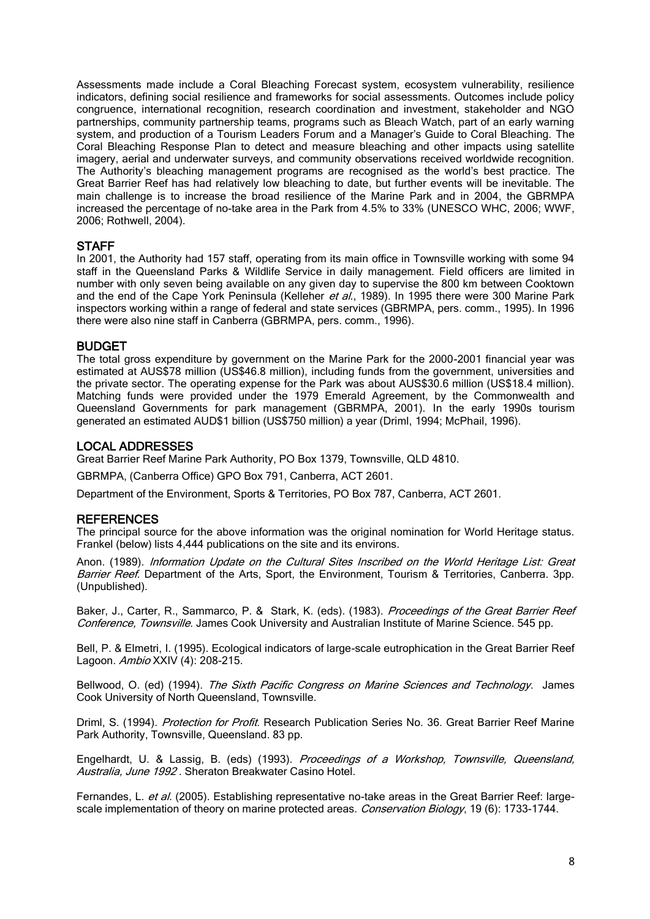Assessments made include a Coral Bleaching Forecast system, ecosystem vulnerability, resilience indicators, defining social resilience and frameworks for social assessments. Outcomes include policy congruence, international recognition, research coordination and investment, stakeholder and NGO partnerships, community partnership teams, programs such as Bleach Watch, part of an early warning system, and production of a Tourism Leaders Forum and a Manager's Guide to Coral Bleaching. The Coral Bleaching Response Plan to detect and measure bleaching and other impacts using satellite imagery, aerial and underwater surveys, and community observations received worldwide recognition. The Authority's bleaching management programs are recognised as the world's best practice. The Great Barrier Reef has had relatively low bleaching to date, but further events will be inevitable. The main challenge is to increase the broad resilience of the Marine Park and in 2004, the GBRMPA increased the percentage of no-take area in the Park from 4.5% to 33% (UNESCO WHC, 2006; WWF, 2006; Rothwell, 2004).

## **STAFF**

In 2001, the Authority had 157 staff, operating from its main office in Townsville working with some 94 staff in the Queensland Parks & Wildlife Service in daily management. Field officers are limited in number with only seven being available on any given day to supervise the 800 km between Cooktown and the end of the Cape York Peninsula (Kelleher et al., 1989). In 1995 there were 300 Marine Park inspectors working within a range of federal and state services (GBRMPA, pers. comm., 1995). In 1996 there were also nine staff in Canberra (GBRMPA, pers. comm., 1996).

## BUDGET

The total gross expenditure by government on the Marine Park for the 2000-2001 financial year was estimated at AUS\$78 million (US\$46.8 million), including funds from the government, universities and the private sector. The operating expense for the Park was about AUS\$30.6 million (US\$18.4 million). Matching funds were provided under the 1979 Emerald Agreement, by the Commonwealth and Queensland Governments for park management (GBRMPA, 2001). In the early 1990s tourism generated an estimated AUD\$1 billion (US\$750 million) a year (Driml, 1994; McPhail, 1996).

## LOCAL ADDRESSES

Great Barrier Reef Marine Park Authority, PO Box 1379, Townsville, QLD 4810.

GBRMPA, (Canberra Office) GPO Box 791, Canberra, ACT 2601.

Department of the Environment, Sports & Territories, PO Box 787, Canberra, ACT 2601.

#### **REFERENCES**

The principal source for the above information was the original nomination for World Heritage status. Frankel (below) lists 4,444 publications on the site and its environs.

Anon. (1989). Information Update on the Cultural Sites Inscribed on the World Heritage List: Great Barrier Reef. Department of the Arts, Sport, the Environment, Tourism & Territories, Canberra. 3pp. (Unpublished).

Baker, J., Carter, R., Sammarco, P. & Stark, K. (eds). (1983). Proceedings of the Great Barrier Reef Conference, Townsville. James Cook University and Australian Institute of Marine Science. 545 pp.

Bell, P. & Elmetri, I. (1995). Ecological indicators of large-scale eutrophication in the Great Barrier Reef Lagoon. Ambio XXIV (4): 208-215.

Bellwood, O. (ed) (1994). The Sixth Pacific Congress on Marine Sciences and Technology. James Cook University of North Queensland, Townsville.

Driml, S. (1994). Protection for Profit. Research Publication Series No. 36. Great Barrier Reef Marine Park Authority, Townsville, Queensland. 83 pp.

Engelhardt, U. & Lassig, B. (eds) (1993). Proceedings of a Workshop, Townsville, Queensland, Australia, June 1992 . Sheraton Breakwater Casino Hotel.

Fernandes, L. et al. (2005). Establishing representative no-take areas in the Great Barrier Reef: largescale implementation of theory on marine protected areas. Conservation Biology, 19 (6): 1733-1744.